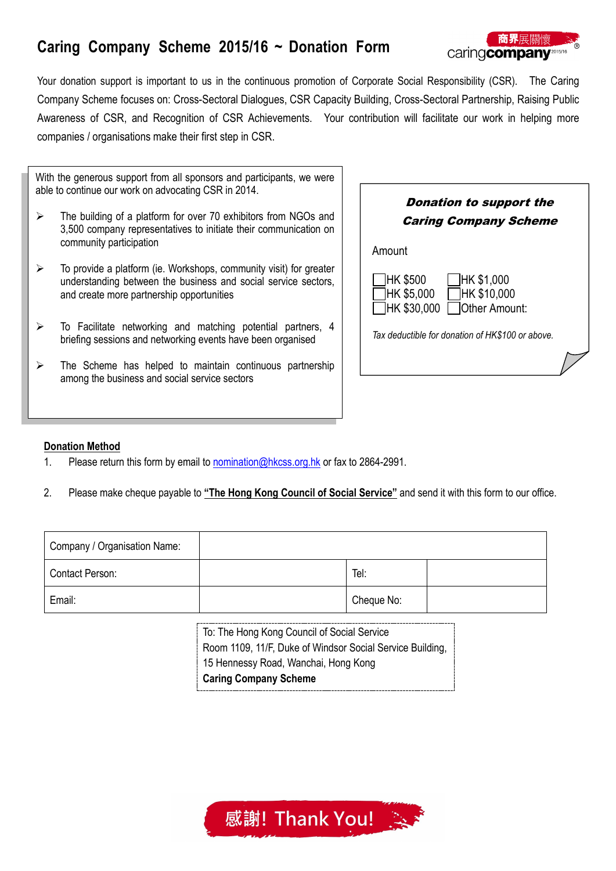# **Caring Company Scheme 2015/16 ~ Donation Form**



Your donation support is important to us in the continuous promotion of Corporate Social Responsibility (CSR). The Caring Company Scheme focuses on: Cross-Sectoral Dialogues, CSR Capacity Building, Cross-Sectoral Partnership, Raising Public Awareness of CSR, and Recognition of CSR Achievements. Your contribution will facilitate our work in helping more companies / organisations make their first step in CSR.

With the generous support from all sponsors and participants, we were able to continue our work on advocating CSR in 2014.

- $\triangleright$  The building of a platform for over 70 exhibitors from NGOs and 3,500 company representatives to initiate their communication on community participation
- $\triangleright$  To provide a platform (ie. Workshops, community visit) for greater understanding between the business and social service sectors, and create more partnership opportunities
- $\triangleright$  To Facilitate networking and matching potential partners, 4 briefing sessions and networking events have been organised
- $\triangleright$  The Scheme has helped to maintain continuous partnership among the business and social service sectors

| <b>Donation to support the</b>                                                       |  |  |  |  |
|--------------------------------------------------------------------------------------|--|--|--|--|
| <b>Caring Company Scheme</b>                                                         |  |  |  |  |
| Amount                                                                               |  |  |  |  |
| HK \$500<br> HK \$1,000<br>HK \$5,000<br>HK \$10,000<br>HK \$30.000<br>Other Amount: |  |  |  |  |
| Tax deductible for donation of HK\$100 or above.                                     |  |  |  |  |
|                                                                                      |  |  |  |  |

### **Donation Method**

- 1. Please return this form by email to [nomination@hkcss.org.hk](mailto:nomination@hkcss.org.hk) or fax to 2864-2991.
- 2. Please make cheque payable to **"The Hong Kong Council of Social Service"** and send it with this form to our office.

| Company / Organisation Name: |            |  |
|------------------------------|------------|--|
| Contact Person:              | Tel:       |  |
| Email:                       | Cheque No: |  |

To: The Hong Kong Council of Social Service Room 1109, 11/F, Duke of Windsor Social Service Building, 15 Hennessy Road, Wanchai, Hong Kong **Caring Company Scheme**